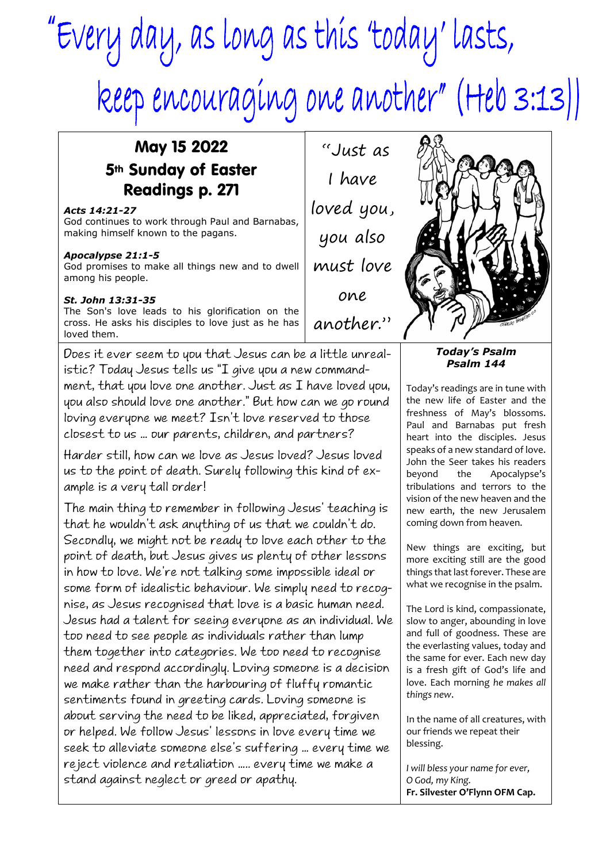# "Every day, as long as this 'today' lasts, keep encouraging one another" (Heb 3:13))

## May 15 2022 5th Sunday of Easter Readings p. 271

### *Acts 14:21-27*

God continues to work through Paul and Barnabas, making himself known to the pagans.

### *Apocalypse 21:1-5*

God promises to make all things new and to dwell among his people.

### *St. John 13:31-35*

The Son's love leads to his glorification on the cross. He asks his disciples to love just as he has loved them.

Does it ever seem to you that Jesus can be a little unrealistic? Today Jesus tells us "I give you a new commandment, that you love one another. Just as I have loved you, you also should love one another." But how can we go round loving everyone we meet? Isn't love reserved to those closest to us … our parents, children, and partners?

Harder still, how can we love as Jesus loved? Jesus loved us to the point of death. Surely following this kind of example is a very tall order!

The main thing to remember in following Jesus' teaching is that he wouldn't ask anything of us that we couldn't do. Secondly, we might not be ready to love each other to the point of death, but Jesus gives us plenty of other lessons in how to love. We're not talking some impossible ideal or some form of idealistic behaviour. We simply need to recognise, as Jesus recognised that love is a basic human need. Jesus had a talent for seeing everyone as an individual. We too need to see people as individuals rather than lump them together into categories. We too need to recognise need and respond accordingly. Loving someone is a decision we make rather than the harbouring of fluffy romantic sentiments found in greeting cards. Loving someone is about serving the need to be liked, appreciated, forgiven or helped. We follow Jesus' lessons in love every time we seek to alleviate someone else's suffering … every time we reject violence and retaliation ….. every time we make a stand against neglect or greed or apathy.

 "Just as I have loved you, you also must love one another."



#### *Today's Psalm Psalm 144*

Today's readings are in tune with the new life of Easter and the freshness of May's blossoms. Paul and Barnabas put fresh heart into the disciples. Jesus speaks of a new standard of love. John the Seer takes his readers beyond the Apocalypse's tribulations and terrors to the vision of the new heaven and the new earth, the new Jerusalem coming down from heaven.

New things are exciting, but more exciting still are the good things that last forever. These are what we recognise in the psalm.

The Lord is kind, compassionate, slow to anger, abounding in love and full of goodness. These are the everlasting values, today and the same for ever. Each new day is a fresh gift of God's life and love. Each morning *he makes all things new*.

In the name of all creatures, with our friends we repeat their blessing.

*I will bless your name for ever, O God, my King.* **Fr. Silvester O'Flynn OFM Cap.**